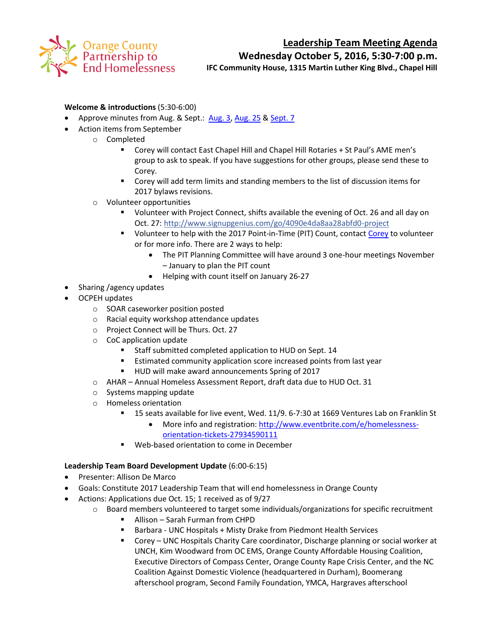

### **Leadership Team Meeting Agenda**

**Wednesday October 5, 2016, 5:30-7:00 p.m.**

**IFC Community House, 1315 Martin Luther King Blvd., Chapel Hill**

#### **Welcome & introductions** (5:30-6:00)

- Approve minutes from Aug. & Sept.: [Aug. 3,](http://www.orangecountync.gov/departments/hhrcd/LT%20Meeting%20Notes%20%20080316.pdf) [Aug. 25](http://www.orangecountync.gov/departments/hhrcd/LT%20mtg%20notes%20082516.pdf) & [Sept. 7](http://www.orangecountync.gov/departments/hhrcd/LT%20Meeting%20Notes%20%20090716.pdf)
- Action items from September
	- o Completed
		- Corey will contact East Chapel Hill and Chapel Hill Rotaries + St Paul's AME men's group to ask to speak. If you have suggestions for other groups, please send these to Corey.
		- Corey will add term limits and standing members to the list of discussion items for 2017 bylaws revisions.
	- o Volunteer opportunities
		- Volunteer with Project Connect, shifts available the evening of Oct. 26 and all day on Oct. 27:<http://www.signupgenius.com/go/4090e4da8aa28abfd0-project>
		- Volunteer to help with the 2017 Point-in-Time (PIT) Count, contact [Corey](mailto:croot@orangecountync.gov) to volunteer or for more info. There are 2 ways to help:
			- The PIT Planning Committee will have around 3 one-hour meetings November – January to plan the PIT count
			- Helping with count itself on January 26-27
- Sharing /agency updates
- OCPEH updates
	- o SOAR caseworker position posted
	- o Racial equity workshop attendance updates
	- o Project Connect will be Thurs. Oct. 27
	- o CoC application update
		- **Staff submitted completed application to HUD on Sept. 14**
		- **Estimated community application score increased points from last year**
		- HUD will make award announcements Spring of 2017
	- o AHAR Annual Homeless Assessment Report, draft data due to HUD Oct. 31
	- o Systems mapping update
	- o Homeless orientation
		- 15 seats available for live event, Wed. 11/9. 6-7:30 at 1669 Ventures Lab on Franklin St
			- More info and registration: [http://www.eventbrite.com/e/homelessness](http://www.eventbrite.com/e/homelessness-orientation-tickets-27934590111?aff=utm_source%3Deb_email%26utm_medium%3Demail%26utm_campaign%3Dnew_event_email&utm_term=eventurl_text)[orientation-tickets-27934590111](http://www.eventbrite.com/e/homelessness-orientation-tickets-27934590111?aff=utm_source%3Deb_email%26utm_medium%3Demail%26utm_campaign%3Dnew_event_email&utm_term=eventurl_text)
		- Web-based orientation to come in December

#### **Leadership Team Board Development Update** (6:00-6:15)

- Presenter: Allison De Marco
- Goals: Constitute 2017 Leadership Team that will end homelessness in Orange County
- Actions: Applications due Oct. 15; 1 received as of 9/27
	- $\circ$  Board members volunteered to target some individuals/organizations for specific recruitment
		- Allison Sarah Furman from CHPD
		- Barbara UNC Hospitals + Misty Drake from Piedmont Health Services
		- Corey UNC Hospitals Charity Care coordinator, Discharge planning or social worker at UNCH, Kim Woodward from OC EMS, Orange County Affordable Housing Coalition, Executive Directors of Compass Center, Orange County Rape Crisis Center, and the NC Coalition Against Domestic Violence (headquartered in Durham), Boomerang afterschool program, Second Family Foundation, YMCA, Hargraves afterschool